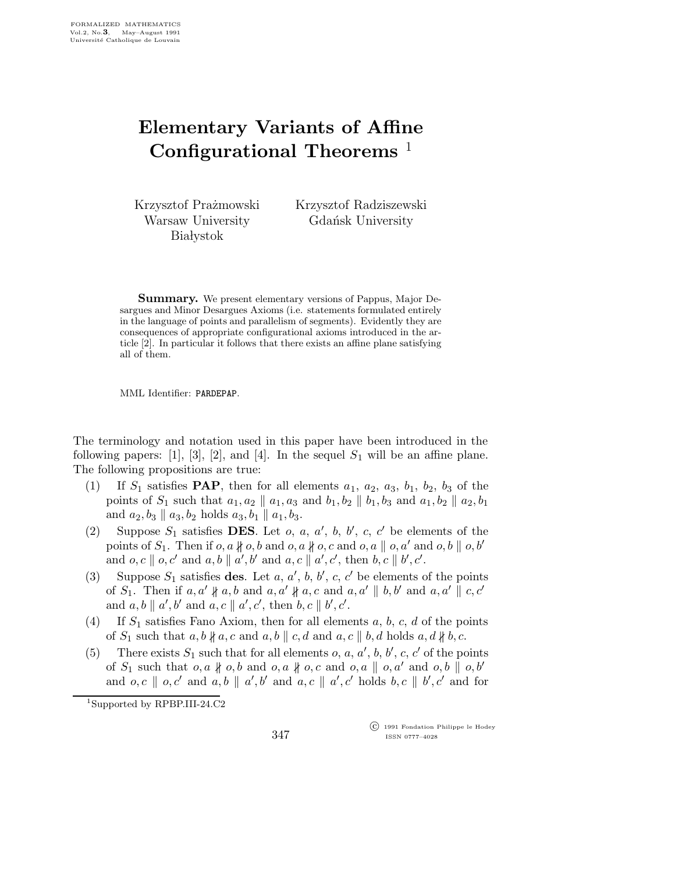## Elementary Variants of Affine Configurational Theorems  $<sup>1</sup>$ </sup>

Krzysztof Prażmowski Warsaw University **Białystok** 

Krzysztof Radziszewski Gdańsk University

Summary. We present elementary versions of Pappus, Major Desargues and Minor Desargues Axioms (i.e. statements formulated entirely in the language of points and parallelism of segments). Evidently they are consequences of appropriate configurational axioms introduced in the article [2]. In particular it follows that there exists an affine plane satisfying all of them.

MML Identifier: PARDEPAP.

The terminology and notation used in this paper have been introduced in the following papers: [1], [3], [2], and [4]. In the sequel  $S_1$  will be an affine plane. The following propositions are true:

- (1) If  $S_1$  satisfies **PAP**, then for all elements  $a_1$ ,  $a_2$ ,  $a_3$ ,  $b_1$ ,  $b_2$ ,  $b_3$  of the points of  $S_1$  such that  $a_1, a_2 \parallel a_1, a_3$  and  $b_1, b_2 \parallel b_1, b_3$  and  $a_1, b_2 \parallel a_2, b_1$ and  $a_2, b_3 \parallel a_3, b_2$  holds  $a_3, b_1 \parallel a_1, b_3$ .
- (2) Suppose  $S_1$  satisfies **DES**. Let  $o, a, a', b, b', c, c'$  be elements of the points of  $S_1$ . Then if  $o, a \nparallel o, b$  and  $o, a \nparallel o, c$  and  $o, a \parallel o, a'$  and  $o, b \parallel o, b'$ and  $o, c \parallel o, c'$  and  $a, b \parallel a', b'$  and  $a, c \parallel a', c'$ , then  $b, c \parallel b', c'$ .
- (3) Suppose  $S_1$  satisfies des. Let  $a, a', b, b', c, c'$  be elements of the points of  $S_1$ . Then if  $a, a' \nparallel a, b$  and  $a, a' \nparallel a, c$  and  $a, a' \parallel b, b'$  and  $a, a' \parallel c, c'$ and  $a, b \parallel a', b'$  and  $a, c \parallel a', c'$ , then  $b, c \parallel b', c'$ .
- (4) If  $S_1$  satisfies Fano Axiom, then for all elements  $a, b, c, d$  of the points of  $S_1$  such that  $a, b \nparallel a, c$  and  $a, b \parallel c, d$  and  $a, c \parallel b, d$  holds  $a, d \nparallel b, c$ .
- (5) There exists  $S_1$  such that for all elements  $o, a, a', b, b', c, c'$  of the points of  $S_1$  such that  $o,a \nparallel o,b$  and  $o,a \nparallel o,c$  and  $o,a \parallel o,a'$  and  $o,b \parallel o,b'$ and  $o, c \parallel o, c'$  and  $a, b \parallel a', b'$  and  $a, c \parallel a', c'$  holds  $b, c \parallel b', c'$  and for

<sup>1</sup>Supported by RPBP.III-24.C2

 c 1991 Fondation Philippe le Hodey ISSN 0777–4028